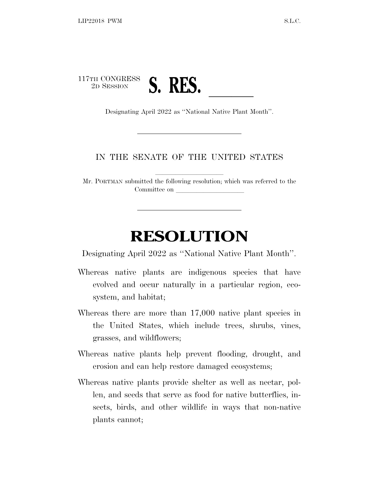

## IN THE SENATE OF THE UNITED STATES

Mr. PORTMAN submitted the following resolution; which was referred to the Committee on

## **RESOLUTION**

Designating April 2022 as ''National Native Plant Month''.

- Whereas native plants are indigenous species that have evolved and occur naturally in a particular region, ecosystem, and habitat;
- Whereas there are more than 17,000 native plant species in the United States, which include trees, shrubs, vines, grasses, and wildflowers;
- Whereas native plants help prevent flooding, drought, and erosion and can help restore damaged ecosystems;
- Whereas native plants provide shelter as well as nectar, pollen, and seeds that serve as food for native butterflies, insects, birds, and other wildlife in ways that non-native plants cannot;